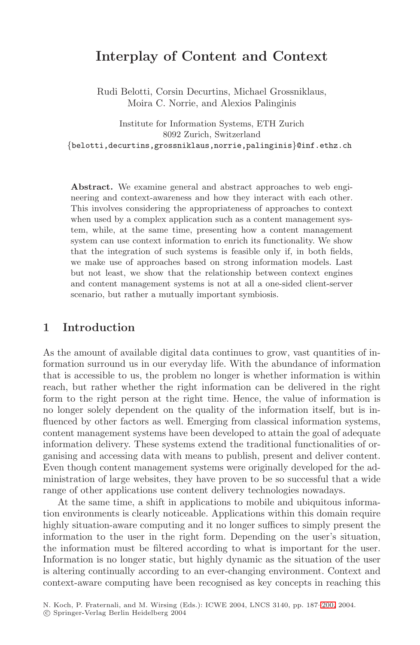# **Interplay of Content and Context**

Rudi Belotti, Corsin Decurtins, Michael Grossniklaus, Moira C. Norrie, and Alexios Palinginis

Institute for Information Systems, ETH Zurich 8092 Zurich, Switzerland {belotti,decurtins,grossniklaus,norrie,palinginis}@inf.ethz.ch

**Abstract.** We examine general and abstract approaches to web engineering and context-awareness and how they interact with each other. This involves considering the appropriateness of approaches to context when used by a complex application such as a content management system, while, at the same time, presenting how a content management system can use context information to enrich its functionality. We show that the integration of such systems is feasible only if, in both fields, we make use of approaches based on strong information models. Last but not least, we show that the relationship between context engines and content management systems is not at all a one-sided client-server scenario, but rather a mutually important symbiosis.

#### **1 Introduction**

As the amount of available digital data continues to grow, vast quantities of information surround us in our everyday life. With the abundance of information that is accessible to us, the problem no longer is whether information is within reach, but rather whether the right information can be delivered in the right form to the right person at the right time. Hence, the value of information is no longer solely dependent on the quality of the information itself, but is influenced by other factors as well. Emerging from classical information systems, content management systems have been developed to attain the goal of adequate information delivery. These systems extend the traditional functionalities of organising and accessing data with means to publish, present and deliver content. Even though content management systems were originally developed for the administration of large websites, they have proven to be so successful that a wide range of other applications use content delivery technologies nowadays.

At the same time, a shift in applications to mobile and ubiquitous information environments is clearly noticeable. Applications within this domain require highly situation-aware computing and it no longer suffices to simply present the information to the user in the right form. Depending on the user's situation, the information must be filtered according to what is important for the user. Information is no longer static, but highly dynamic as the situation of the user is altering continually according to an ever-changing environment. Context and context-aware computing have been recognised as key concepts in reaching this

N. Koch, P. Fraternali, and M. Wirsing (Eds.): ICWE 2004, LNCS 3140, pp. 187–200, 2004.

c Springer-Verlag Berlin Heidelberg 2004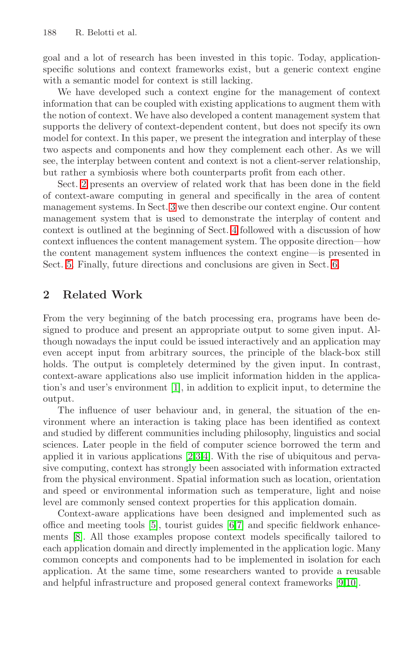goal and a lot of research has been invested in this topic. Today, applicationspecific solutions and context frameworks exist, but a generic context engine with a semantic model for context is still lacking.

We have developed such a context engine for the management of context information that can be coupled with existing applications to augment them with the notion of context. We have also developed a content management system that supports the delivery of context-dependent content, but does not specify its own model for context. In this paper, we present the integration and interplay of these two aspects and components and how they complement each other. As we will see, the interplay between content and context is not a client-server relationship, but rather a symbiosis where both counterparts profit from each other.

Sect. 2 presents an overview of related work that has been done in the field of context-aware computing in general and specifically in the area of content management systems. In Sect. [3](#page-3-0) we then describe our context engine. Our content management system that is used to demonstrate the interplay of content and context is outlined at the beginning of Sect. [4](#page-5-0) followed with a discussion of how context influences the content management system. The opposite direction—how the content management system influences the context engine—is presented in Sect. [5.](#page-10-0) Finally, future directions and conclusions are given in Sect. [6.](#page-11-0)

## **2 Related Work**

From the very beginning of the batch processing era, programs have been designed to produce and present an appropriate output to some given input. Although nowadays the input could be issued interactively and an application may even accept input from arbitrary sources, the principle of the black-box still holds. The output is completely determined by the given input. In contrast, context-aware applications also use implicit information hidden in the application's and user's environment [1], in addition to explicit input, to determine the output.

The influence of user behaviour and, in general, the situation of the environment where an interaction is taking place has been identified as context and studied by different communities including philosophy, linguistics and social sciences. Later people in the field of computer science borrowed the term and applied it in various applications [2,3,4]. With the rise of ubiquitous and pervasive computing, context has strongly been associated with information extracted from the physical environment. Spatial information such as location, orientation and speed or environmental information such as temperature, light and noise level are commonly sensed context properties for this application domain.

Context-aware applications have been designed and implemented such as office and meeting tools [5], tourist guides [6,7] and specific fieldwork enhancements [8]. All those examples propose context models specifically tailored to each application domain and directly implemented in the application logic. Many common concepts and components had to be implemented in isolation for each application. At the same time, some researchers wanted to provide a reusable and helpful infrastructure and proposed general context frameworks [9,10].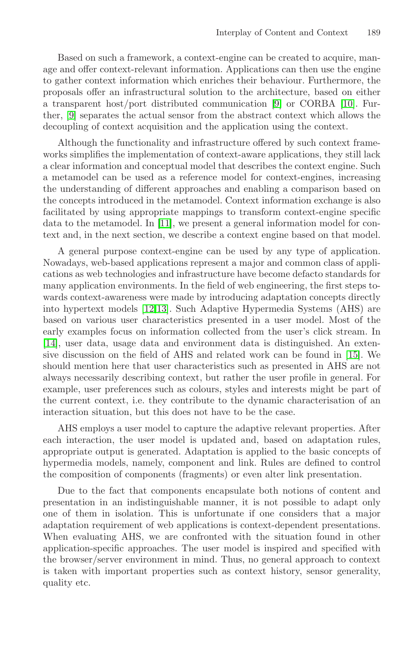Based on such a framework, a context-engine can be created to acquire, manage and offer context-relevant information. Applications can then use the engine to gather context information which enriches their behaviour. Furthermore, the proposals offer an infrastructural solution to the architecture, based on either a transparent host/port distributed communication [9] or CORBA [10]. Further, [9] separates the actual sensor from the abstract context which allows the decoupling of context acquisition and the application using the context.

Although the functionality and infrastructure offered by such context frameworks simplifies the implementation of context-aware applications, they still lack a clear information and conceptual model that describes the context engine. Such a metamodel can be used as a reference model for context-engines, increasing the understanding of different approaches and enabling a comparison based on the concepts introduced in the metamodel. Context information exchange is also facilitated by using appropriate mappings to transform context-engine specific data to the metamodel. In [11], we present a general information model for context and, in the next section, we describe a context engine based on that model.

A general purpose context-engine can be used by any type of application. Nowadays, web-based applications represent a major and common class of applications as web technologies and infrastructure have become defacto standards for many application environments. In the field of web engineering, the first steps towards context-awareness were made by introducing adaptation concepts directly into hypertext models [12,13]. Such Adaptive Hypermedia Systems (AHS) are based on various user characteristics presented in a user model. Most of the early examples focus on information collected from the user's click stream. In [14], user data, usage data and environment data is distinguished. An extensive discussion on the field of AHS and related work can be found in [15]. We should mention here that user characteristics such as presented in AHS are not always necessarily describing context, but rather the user profile in general. For example, user preferences such as colours, styles and interests might be part of the current context, i.e. they contribute to the dynamic characterisation of an interaction situation, but this does not have to be the case.

AHS employs a user model to capture the adaptive relevant properties. After each interaction, the user model is updated and, based on adaptation rules, appropriate output is generated. Adaptation is applied to the basic concepts of hypermedia models, namely, component and link. Rules are defined to control the composition of components (fragments) or even alter link presentation.

Due to the fact that components encapsulate both notions of content and presentation in an indistinguishable manner, it is not possible to adapt only one of them in isolation. This is unfortunate if one considers that a major adaptation requirement of web applications is context-dependent presentations. When evaluating AHS, we are confronted with the situation found in other application-specific approaches. The user model is inspired and specified with the browser/server environment in mind. Thus, no general approach to context is taken with important properties such as context history, sensor generality, quality etc.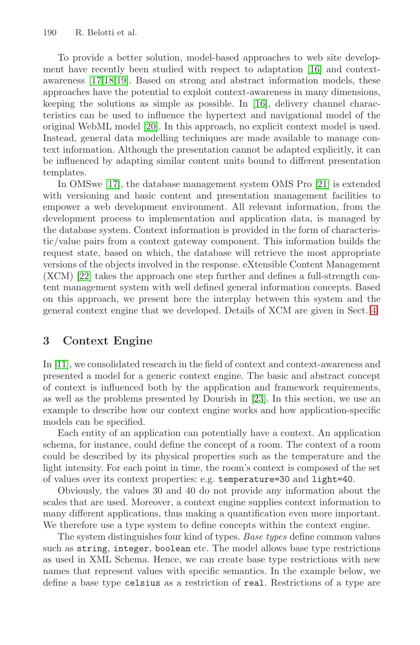<span id="page-3-0"></span>To provide a better solution, model-based approaches to web site development have recently been studied with respect to adaptation [16] and contextawareness [17,18,19]. Based on strong and abstract information models, these approaches have the potential to exploit context-awareness in many dimensions, keeping the solutions as simple as possible. In [16], delivery channel characteristics can be used to influence the hypertext and navigational model of the original WebML model [20]. In this approach, no explicit context model is used. Instead, general data modelling techniques are made available to manage context information. Although the presentation cannot be adapted explicitly, it can be influenced by adapting similar content units bound to different presentation templates.

In OMSwe [17], the database management system OMS Pro [21] is extended with versioning and basic content and presentation management facilities to empower a web development environment. All relevant information, from the development process to implementation and application data, is managed by the database system. Context information is provided in the form of characteristic/value pairs from a context gateway component. This information builds the request state, based on which, the database will retrieve the most appropriate versions of the objects involved in the response. eXtensible Content Management (XCM) [22] takes the approach one step further and defines a full-strength content management system with well defined general information concepts. Based on this approach, we present here the interplay between this system and the general context engine that we developed. Details of XCM are given in Sect. [4.](#page-5-0)

## **3 Context Engine**

In [11], we consolidated research in the field of context and context-awareness and presented a model for a generic context engine. The basic and abstract concept of context is influenced both by the application and framework requirements, as well as the problems presented by Dourish in [23]. In this section, we use an example to describe how our context engine works and how application-specific models can be specified.

Each entity of an application can potentially have a context. An application schema, for instance, could define the concept of a room. The context of a room could be described by its physical properties such as the temperature and the light intensity. For each point in time, the room's context is composed of the set of values over its context properties: e.g. temperature=30 and light=40.

Obviously, the values 30 and 40 do not provide any information about the scales that are used. Moreover, a context engine supplies context information to many different applications, thus making a quantification even more important. We therefore use a type system to define concepts within the context engine.

The system distinguishes four kind of types. *Base types* define common values such as string, integer, boolean etc. The model allows base type restrictions as used in XML Schema. Hence, we can create base type restrictions with new names that represent values with specific semantics. In the example below, we define a base type celsius as a restriction of real. Restrictions of a type are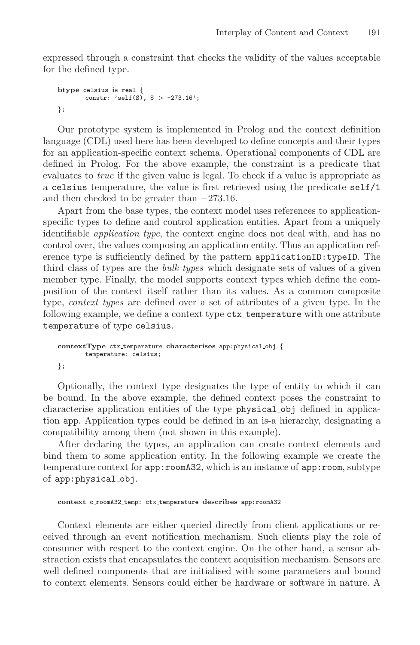expressed through a constraint that checks the validity of the values acceptable for the defined type.

```
btype celsius is real {
       constr: 'self(S), S > -273.16';
};
```
Our prototype system is implemented in Prolog and the context definition language (CDL) used here has been developed to define concepts and their types for an application-specific context schema. Operational components of CDL are defined in Prolog. For the above example, the constraint is a predicate that evaluates to *true* if the given value is legal. To check if a value is appropriate as a celsius temperature, the value is first retrieved using the predicate self/1 and then checked to be greater than −273.16.

Apart from the base types, the context model uses references to applicationspecific types to define and control application entities. Apart from a uniquely identifiable *application type*, the context engine does not deal with, and has no control over, the values composing an application entity. Thus an application reference type is sufficiently defined by the pattern applicationID:typeID. The third class of types are the *bulk types* which designate sets of values of a given member type. Finally, the model supports context types which define the composition of the context itself rather than its values. As a common composite type, *context types* are defined over a set of attributes of a given type. In the following example, we define a context type  $\texttt{ctx$ >temperature with one attribute} temperature of type celsius.

```
contextType ctx_temperature characterises app:physical_obj {<br>temperature: celsius;
          temperature: celsius;
};
```
Optionally, the context type designates the type of entity to which it can be bound. In the above example, the defined context poses the constraint to characterise application entities of the type physical obj defined in application app. Application types could be defined in an is-a hierarchy, designating a compatibility among them (not shown in this example).

After declaring the types, an application can create context elements and bind them to some application entity. In the following example we create the temperature context for app:roomA32, which is an instance of app:room, subtype of app:physical obj.

**context** c roomA32 temp: ctx temperature **describes** app:roomA32

Context elements are either queried directly from client applications or received through an event notification mechanism. Such clients play the role of consumer with respect to the context engine. On the other hand, a sensor abstraction exists that encapsulates the context acquisition mechanism. Sensors are well defined components that are initialised with some parameters and bound to context elements. Sensors could either be hardware or software in nature. A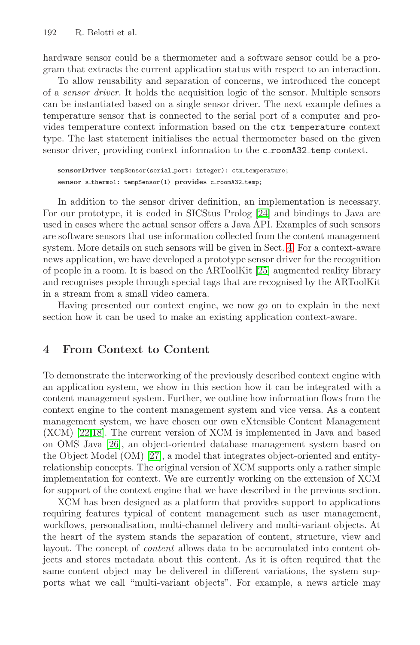<span id="page-5-0"></span>hardware sensor could be a thermometer and a software sensor could be a program that extracts the current application status with respect to an interaction.

To allow reusability and separation of concerns, we introduced the concept of a *sensor driver*. It holds the acquisition logic of the sensor. Multiple sensors can be instantiated based on a single sensor driver. The next example defines a temperature sensor that is connected to the serial port of a computer and provides temperature context information based on the ctx temperature context type. The last statement initialises the actual thermometer based on the given sensor driver, providing context information to the c\_roomA32\_temp context.

```
sensorDriver tempSensor(serial_port: integer): ctx_temperature;
sensor s_thermo1: tempSensor(1) provides c_roomA32_temp;
```
In addition to the sensor driver definition, an implementation is necessary. For our prototype, it is coded in SICStus Prolog [24] and bindings to Java are used in cases where the actual sensor offers a Java API. Examples of such sensors are software sensors that use information collected from the content management system. More details on such sensors will be given in Sect. 4. For a context-aware news application, we have developed a prototype sensor driver for the recognition of people in a room. It is based on the ARToolKit [25] augmented reality library and recognises people through special tags that are recognised by the ARToolKit in a stream from a small video camera.

Having presented our context engine, we now go on to explain in the next section how it can be used to make an existing application context-aware.

## **4 From Context to Content**

To demonstrate the interworking of the previously described context engine with an application system, we show in this section how it can be integrated with a content management system. Further, we outline how information flows from the context engine to the content management system and vice versa. As a content management system, we have chosen our own eXtensible Content Management (XCM) [22,18]. The current version of XCM is implemented in Java and based on OMS Java [26], an object-oriented database management system based on the Object Model (OM) [27], a model that integrates object-oriented and entityrelationship concepts. The original version of XCM supports only a rather simple implementation for context. We are currently working on the extension of XCM for support of the context engine that we have described in the previous section.

XCM has been designed as a platform that provides support to applications requiring features typical of content management such as user management, workflows, personalisation, multi-channel delivery and multi-variant objects. At the heart of the system stands the separation of content, structure, view and layout. The concept of *content* allows data to be accumulated into content objects and stores metadata about this content. As it is often required that the same content object may be delivered in different variations, the system supports what we call "multi-variant objects". For example, a news article may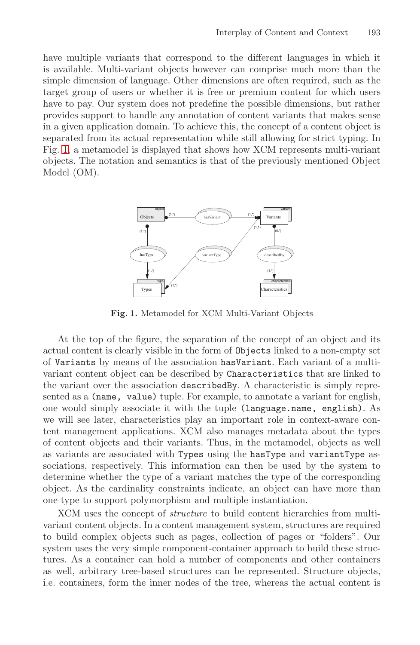have multiple variants that correspond to the different languages in which it is available. Multi-variant objects however can comprise much more than the simple dimension of language. Other dimensions are often required, such as the target group of users or whether it is free or premium content for which users have to pay. Our system does not predefine the possible dimensions, but rather provides support to handle any annotation of content variants that makes sense in a given application domain. To achieve this, the concept of a content object is separated from its actual representation while still allowing for strict typing. In Fig. 1, a metamodel is displayed that shows how XCM represents multi-variant objects. The notation and semantics is that of the previously mentioned Object Model (OM).



**Fig. 1.** Metamodel for XCM Multi-Variant Objects

At the top of the figure, the separation of the concept of an object and its actual content is clearly visible in the form of Objects linked to a non-empty set of Variants by means of the association hasVariant. Each variant of a multivariant content object can be described by Characteristics that are linked to the variant over the association describedBy. A characteristic is simply represented as a (name, value) tuple. For example, to annotate a variant for english, one would simply associate it with the tuple (language.name, english). As we will see later, characteristics play an important role in context-aware content management applications. XCM also manages metadata about the types of content objects and their variants. Thus, in the metamodel, objects as well as variants are associated with Types using the hasType and variantType associations, respectively. This information can then be used by the system to determine whether the type of a variant matches the type of the corresponding object. As the cardinality constraints indicate, an object can have more than one type to support polymorphism and multiple instantiation.

XCM uses the concept of *structure* to build content hierarchies from multivariant content objects. In a content management system, structures are required to build complex objects such as pages, collection of pages or "folders". Our system uses the very simple component-container approach to build these structures. As a container can hold a number of components and other containers as well, arbitrary tree-based structures can be represented. Structure objects, i.e. containers, form the inner nodes of the tree, whereas the actual content is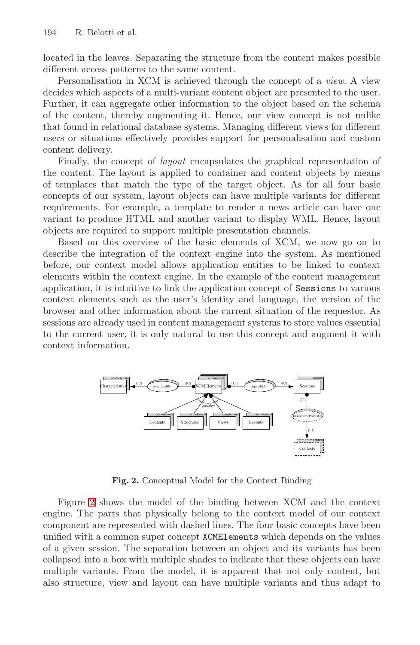located in the leaves. Separating the structure from the content makes possible different access patterns to the same content.

Personalisation in XCM is achieved through the concept of a *view*. A view decides which aspects of a multi-variant content object are presented to the user. Further, it can aggregate other information to the object based on the schema of the content, thereby augmenting it. Hence, our view concept is not unlike that found in relational database systems. Managing different views for different users or situations effectively provides support for personalisation and custom content delivery.

Finally, the concept of *layout* encapsulates the graphical representation of the content. The layout is applied to container and content objects by means of templates that match the type of the target object. As for all four basic concepts of our system, layout objects can have multiple variants for different requirements. For example, a template to render a news article can have one variant to produce HTML and another variant to display WML. Hence, layout objects are required to support multiple presentation channels.

Based on this overview of the basic elements of XCM, we now go on to describe the integration of the context engine into the system. As mentioned before, our context model allows application entities to be linked to context elements within the context engine. In the example of the content management application, it is intuitive to link the application concept of Sessions to various context elements such as the user's identity and language, the version of the browser and other information about the current situation of the requestor. As sessions are already used in content management systems to store values essential to the current user, it is only natural to use this concept and augment it with context information.



**Fig. 2.** Conceptual Model for the Context Binding

Figure 2 shows the model of the binding between XCM and the context engine. The parts that physically belong to the context model of our context component are represented with dashed lines. The four basic concepts have been unified with a common super concept XCMElements which depends on the values of a given session. The separation between an object and its variants has been collapsed into a box with multiple shades to indicate that these objects can have multiple variants. From the model, it is apparent that not only content, but also structure, view and layout can have multiple variants and thus adapt to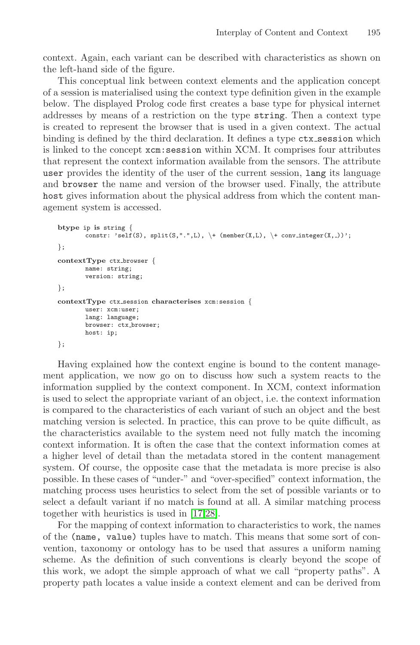context. Again, each variant can be described with characteristics as shown on the left-hand side of the figure.

This conceptual link between context elements and the application concept of a session is materialised using the context type definition given in the example below. The displayed Prolog code first creates a base type for physical internet addresses by means of a restriction on the type string. Then a context type is created to represent the browser that is used in a given context. The actual binding is defined by the third declaration. It defines a type  $\texttt{ctx}$  session which is linked to the concept xcm:session within XCM. It comprises four attributes that represent the context information available from the sensors. The attribute user provides the identity of the user of the current session, lang its language and browser the name and version of the browser used. Finally, the attribute host gives information about the physical address from which the content management system is accessed.

```
btype ip is string {
       constr: 'self(S), split(S,".",L), \+ (member(X,L), \+ conv_integer(X,_))';
};
contextType ctx_browser {<br>name: string;
        version: string;
};
contextType ctx session characterises xcm:session {
       lang: language;
       browser: ctx_browser;
        host: ip;
};
```
Having explained how the context engine is bound to the content management application, we now go on to discuss how such a system reacts to the information supplied by the context component. In XCM, context information is used to select the appropriate variant of an object, i.e. the context information is compared to the characteristics of each variant of such an object and the best matching version is selected. In practice, this can prove to be quite difficult, as the characteristics available to the system need not fully match the incoming context information. It is often the case that the context information comes at a higher level of detail than the metadata stored in the content management system. Of course, the opposite case that the metadata is more precise is also possible. In these cases of "under-" and "over-specified" context information, the matching process uses heuristics to select from the set of possible variants or to select a default variant if no match is found at all. A similar matching process together with heuristics is used in [17,28].

For the mapping of context information to characteristics to work, the names of the (name, value) tuples have to match. This means that some sort of convention, taxonomy or ontology has to be used that assures a uniform naming scheme. As the definition of such conventions is clearly beyond the scope of this work, we adopt the simple approach of what we call "property paths". A property path locates a value inside a context element and can be derived from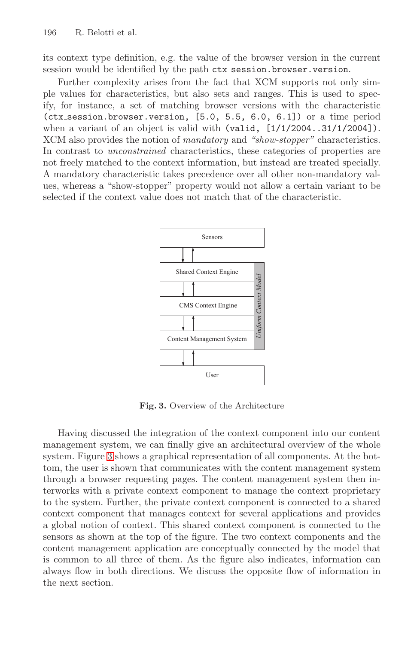its context type definition, e.g. the value of the browser version in the current session would be identified by the path ctx\_session.browser.version.

Further complexity arises from the fact that XCM supports not only simple values for characteristics, but also sets and ranges. This is used to specify, for instance, a set of matching browser versions with the characteristic (ctx session.browser.version, [5.0, 5.5, 6.0, 6.1]) or a time period when a variant of an object is valid with (valid,  $[1/1/2004..31/1/2004]$ ). XCM also provides the notion of *mandatory* and *"show-stopper"* characteristics. In contrast to *unconstrained* characteristics, these categories of properties are not freely matched to the context information, but instead are treated specially. A mandatory characteristic takes precedence over all other non-mandatory values, whereas a "show-stopper" property would not allow a certain variant to be selected if the context value does not match that of the characteristic.



**Fig. 3.** Overview of the Architecture

Having discussed the integration of the context component into our content management system, we can finally give an architectural overview of the whole system. Figure 3 shows a graphical representation of all components. At the bottom, the user is shown that communicates with the content management system through a browser requesting pages. The content management system then interworks with a private context component to manage the context proprietary to the system. Further, the private context component is connected to a shared context component that manages context for several applications and provides a global notion of context. This shared context component is connected to the sensors as shown at the top of the figure. The two context components and the content management application are conceptually connected by the model that is common to all three of them. As the figure also indicates, information can always flow in both directions. We discuss the opposite flow of information in the next section.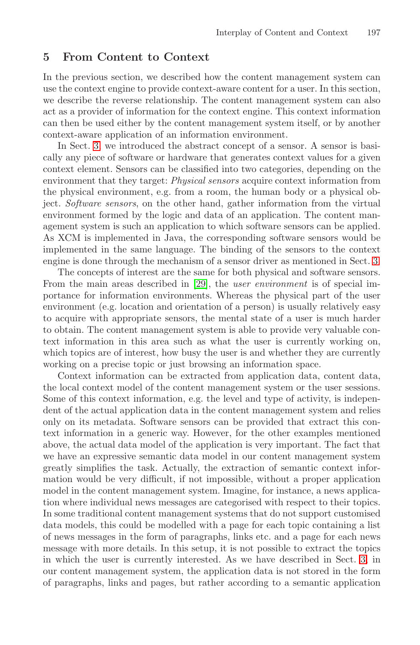#### <span id="page-10-0"></span>**5 From Content to Context**

In the previous section, we described how the content management system can use the context engine to provide context-aware content for a user. In this section, we describe the reverse relationship. The content management system can also act as a provider of information for the context engine. This context information can then be used either by the content management system itself, or by another context-aware application of an information environment.

In Sect. [3,](#page-3-0) we introduced the abstract concept of a sensor. A sensor is basically any piece of software or hardware that generates context values for a given context element. Sensors can be classified into two categories, depending on the environment that they target: *Physical sensors* acquire context information from the physical environment, e.g. from a room, the human body or a physical object. *Software sensors*, on the other hand, gather information from the virtual environment formed by the logic and data of an application. The content management system is such an application to which software sensors can be applied. As XCM is implemented in Java, the corresponding software sensors would be implemented in the same language. The binding of the sensors to the context engine is done through the mechanism of a sensor driver as mentioned in Sect. [3.](#page-3-0)

The concepts of interest are the same for both physical and software sensors. From the main areas described in [29], the *user environment* is of special importance for information environments. Whereas the physical part of the user environment (e.g. location and orientation of a person) is usually relatively easy to acquire with appropriate sensors, the mental state of a user is much harder to obtain. The content management system is able to provide very valuable context information in this area such as what the user is currently working on, which topics are of interest, how busy the user is and whether they are currently working on a precise topic or just browsing an information space.

Context information can be extracted from application data, content data, the local context model of the content management system or the user sessions. Some of this context information, e.g. the level and type of activity, is independent of the actual application data in the content management system and relies only on its metadata. Software sensors can be provided that extract this context information in a generic way. However, for the other examples mentioned above, the actual data model of the application is very important. The fact that we have an expressive semantic data model in our content management system greatly simplifies the task. Actually, the extraction of semantic context information would be very difficult, if not impossible, without a proper application model in the content management system. Imagine, for instance, a news application where individual news messages are categorised with respect to their topics. In some traditional content management systems that do not support customised data models, this could be modelled with a page for each topic containing a list of news messages in the form of paragraphs, links etc. and a page for each news message with more details. In this setup, it is not possible to extract the topics in which the user is currently interested. As we have described in Sect. [3,](#page-3-0) in our content management system, the application data is not stored in the form of paragraphs, links and pages, but rather according to a semantic application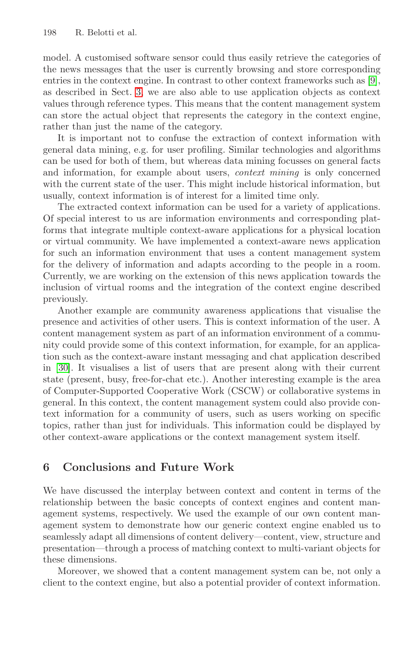<span id="page-11-0"></span>model. A customised software sensor could thus easily retrieve the categories of the news messages that the user is currently browsing and store corresponding entries in the context engine. In contrast to other context frameworks such as [9], as described in Sect. [3,](#page-3-0) we are also able to use application objects as context values through reference types. This means that the content management system can store the actual object that represents the category in the context engine, rather than just the name of the category.

It is important not to confuse the extraction of context information with general data mining, e.g. for user profiling. Similar technologies and algorithms can be used for both of them, but whereas data mining focusses on general facts and information, for example about users, *context mining* is only concerned with the current state of the user. This might include historical information, but usually, context information is of interest for a limited time only.

The extracted context information can be used for a variety of applications. Of special interest to us are information environments and corresponding platforms that integrate multiple context-aware applications for a physical location or virtual community. We have implemented a context-aware news application for such an information environment that uses a content management system for the delivery of information and adapts according to the people in a room. Currently, we are working on the extension of this news application towards the inclusion of virtual rooms and the integration of the context engine described previously.

Another example are community awareness applications that visualise the presence and activities of other users. This is context information of the user. A content management system as part of an information environment of a community could provide some of this context information, for example, for an application such as the context-aware instant messaging and chat application described in [30]. It visualises a list of users that are present along with their current state (present, busy, free-for-chat etc.). Another interesting example is the area of Computer-Supported Cooperative Work (CSCW) or collaborative systems in general. In this context, the content management system could also provide context information for a community of users, such as users working on specific topics, rather than just for individuals. This information could be displayed by other context-aware applications or the context management system itself.

## **6 Conclusions and Future Work**

We have discussed the interplay between context and content in terms of the relationship between the basic concepts of context engines and content management systems, respectively. We used the example of our own content management system to demonstrate how our generic context engine enabled us to seamlessly adapt all dimensions of content delivery—content, view, structure and presentation—through a process of matching context to multi-variant objects for these dimensions.

Moreover, we showed that a content management system can be, not only a client to the context engine, but also a potential provider of context information.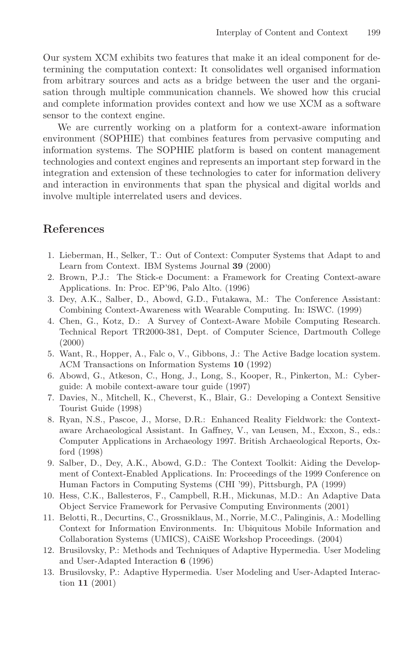Our system XCM exhibits two features that make it an ideal component for determining the computation context: It consolidates well organised information from arbitrary sources and acts as a bridge between the user and the organisation through multiple communication channels. We showed how this crucial and complete information provides context and how we use XCM as a software sensor to the context engine.

We are currently working on a platform for a context-aware information environment (SOPHIE) that combines features from pervasive computing and information systems. The SOPHIE platform is based on content management technologies and context engines and represents an important step forward in the integration and extension of these technologies to cater for information delivery and interaction in environments that span the physical and digital worlds and involve multiple interrelated users and devices.

#### **References**

- 1. Lieberman, H., Selker, T.: Out of Context: Computer Systems that Adapt to and Learn from Context. IBM Systems Journal **39** (2000)
- 2. Brown, P.J.: The Stick-e Document: a Framework for Creating Context-aware Applications. In: Proc. EP'96, Palo Alto. (1996)
- 3. Dey, A.K., Salber, D., Abowd, G.D., Futakawa, M.: The Conference Assistant: Combining Context-Awareness with Wearable Computing. In: ISWC. (1999)
- 4. Chen, G., Kotz, D.: A Survey of Context-Aware Mobile Computing Research. Technical Report TR2000-381, Dept. of Computer Science, Dartmouth College (2000)
- 5. Want, R., Hopper, A., Falc o, V., Gibbons, J.: The Active Badge location system. ACM Transactions on Information Systems **10** (1992)
- 6. Abowd, G., Atkeson, C., Hong, J., Long, S., Kooper, R., Pinkerton, M.: Cyberguide: A mobile context-aware tour guide (1997)
- 7. Davies, N., Mitchell, K., Cheverst, K., Blair, G.: Developing a Context Sensitive Tourist Guide (1998)
- 8. Ryan, N.S., Pascoe, J., Morse, D.R.: Enhanced Reality Fieldwork: the Contextaware Archaeological Assistant. In Gaffney, V., van Leusen, M., Exxon, S., eds.: Computer Applications in Archaeology 1997. British Archaeological Reports, Oxford (1998)
- 9. Salber, D., Dey, A.K., Abowd, G.D.: The Context Toolkit: Aiding the Development of Context-Enabled Applications. In: Proceedings of the 1999 Conference on Human Factors in Computing Systems (CHI '99), Pittsburgh, PA (1999)
- 10. Hess, C.K., Ballesteros, F., Campbell, R.H., Mickunas, M.D.: An Adaptive Data Object Service Framework for Pervasive Computing Environments (2001)
- 11. Belotti, R., Decurtins, C., Grossniklaus, M., Norrie, M.C., Palinginis, A.: Modelling Context for Information Environments. In: Ubiquitous Mobile Information and Collaboration Systems (UMICS), CAiSE Workshop Proceedings. (2004)
- 12. Brusilovsky, P.: Methods and Techniques of Adaptive Hypermedia. User Modeling and User-Adapted Interaction **6** (1996)
- 13. Brusilovsky, P.: Adaptive Hypermedia. User Modeling and User-Adapted Interaction **11** (2001)